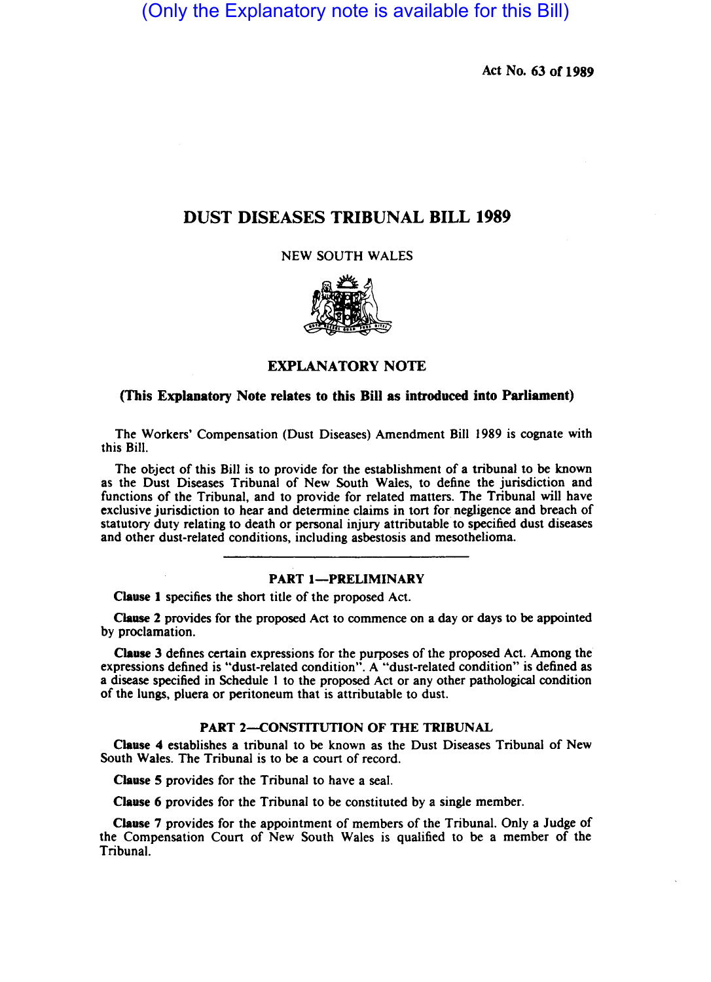(Only the Explanatory note is available for this Bill)

Act No. 63 of 1989

# DUST DISEASES TRIBUNAL BILL 1989

NEW SOUTH WALES



EXPLANATORY NOTE

# (This Explanatory Note relates to this Bill as introduced into Parliament)

The Workers' Compensation (Dust Diseases) Amendment Bill 1989 is cognate with this Bill.

The object of this Bill is to provide for the establishment of a tribunal to be known as the Dust Diseases Tribunal of New South Wales, to define the jurisdiction and functions of the Tribunal, and to provide for related matters. The Tribunal will have exclusive jurisdiction to hear and determine claims in tort for negligence and breach of statutory duty relating to death or personal injury attributable to specified dust diseases and other dust-related conditions, including asbestosis and mesothelioma.

# PART 1-PRELIMINARY

Clause I specifies the short title of the proposed Act.

Clause 2 provides for the proposed Act to commence on a day or days to be appointed by proclamation.

Clause 3 defines certain expressions for the purposes of the proposed Act. Among the expressions defined is "dust-related condition". A "dust-related condition" is defined as a disease specified in Schedule I to the proposed Act or any other pathological condition of the lungs, pluera or peritoneum that is attributable to dust.

#### PART 2-CONSTITUTION OF THE TRIBUNAL

Clause 4 establishes a tribunal to be known as the Dust Diseases Tribunal of New South Wales. The Tribunal is to be a court of record.

Clause S provides for the Tribunal to have a seal.

Clause 6 provides for the Tribunal to be constituted by a single member.

Clause 7 provides for the appointment of members of the Tribunal. Only a Judge of the Compensation Court of New South Wales is qualified to be a member of the Tribunal.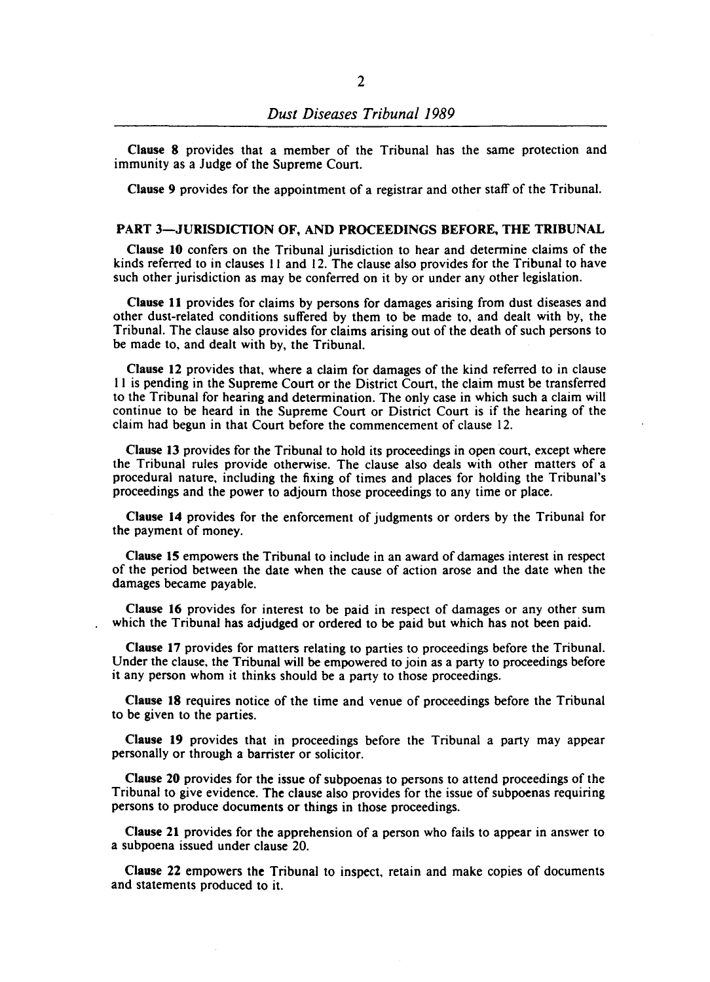Clause 8 provides that a member of the Tribunal has the same protection and immunity as a Judge of the Supreme Court.

Clause 9 provides for the appointment of a registrar and other staff of the Tribunal.

#### PART 3-JURlSDICfION OF, AND PROCEEDINGS BEFORE, THE TRIBUNAL

Clause 10 confers on the Tribunal jurisdiction to hear and determine claims of the kinds referred to in clauses 11 and 12. The clause also provides for the Tribunal to have such other jurisdiction as may be conferred on it by or under any other legislation.

Clause 11 provides for claims by persons for damages arising from dust diseases and other dust-related conditions suffered by them to be made to, and dealt with by, the Tribunal. The clause also provides for claims arising out of the death of such persons to be made to, and dealt with by, the Tribunal.

Clause 12 provides that, where a claim for damages of the kind referred to in clause 11 is pending in the Supreme Court or the District Court, the claim must be transferred to the Tribunal for hearing and determination. The only case in which such a claim will continue to be heard in the Supreme Court or District Court is if the hearing of the claim had begun in that Court before the commencement of clause 12.

Clause 13 provides for the Tribunal to hold its proceedings in open court, except where the Tribunal rules provide otherwise. The clause also deals with other matters of a procedural nature, including the fixing of times and places for holding the Tribunal's proceedings and the power to adjourn those proceedings to any time or place.

Clause 14 provides for the enforcement of judgments or orders by the Tribunal for the payment of money.

Clause 15 empowers the Tribunal to include in an award of damages interest in respect of the period between the date when the cause of action arose and the date when the damages became payable.

Clause 16 provides for interest to be paid in respect of damages or any other sum which the Tribunal has adjudged or ordered to be paid but which has not been paid.

Clause 17 provides for matters relating to parties to proceedings before the Tribunal. Under the clause, the Tribunal will be empowered to join as a party to proceedings before it any person whom it thinks should be a party to those proceedings.

Clause 18 requires notice of the time and venue of proceedings before the Tribunal to be given to the parties.

Clause 19 provides that in proceedings before the Tribunal a party may appear personally or through a barrister or solicitor.

Clause 20 provides for the issue of subpoenas to persons to attend proceedings of the Tribunal to give evidence. The clause also provides for the issue of subpoenas requiring persons to produce documents or things in those proceedings.

Clause 21 provides for the apprehension of a person who fails to appear in answer to a subpoena issued under clause 20.

Clause 22 empowers the Tribunal to inspect, retain and make copies of documents and statements produced to it.